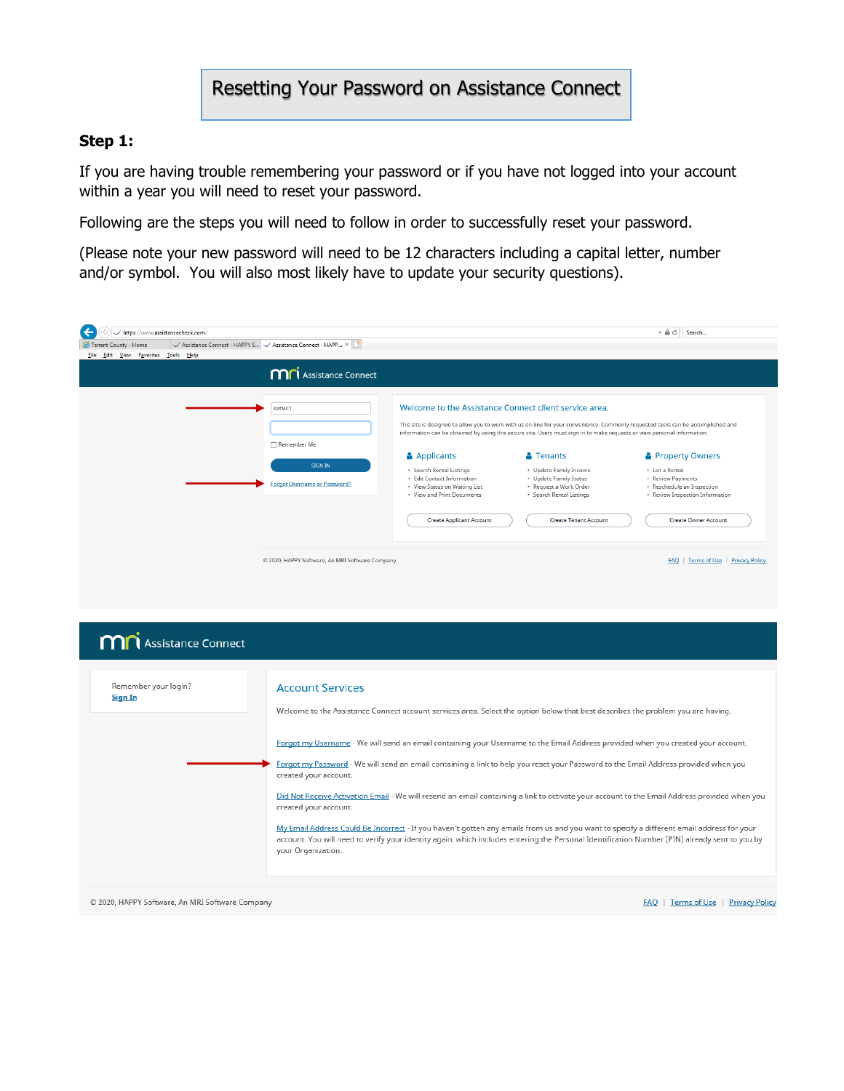## Resetting Your Password on Assistance Connect

#### **Step 1:**

If you are having trouble remembering your password or if you have not logged into your account within a year you will need to reset your password.

Following are the steps you will need to follow in order to successfully reset your password.

(Please note your new password will need to be 12 characters including a capital letter, number and/or symbol. You will also most likely have to update your security questions).

| https://www.assistancecheck.com/    |                                                                                |                                                                                                                                                                                                                                  |                                                                                                                                                                                                                                                                                 | $-AC$<br>Search                                                                                                                                                                                                                                                                       |
|-------------------------------------|--------------------------------------------------------------------------------|----------------------------------------------------------------------------------------------------------------------------------------------------------------------------------------------------------------------------------|---------------------------------------------------------------------------------------------------------------------------------------------------------------------------------------------------------------------------------------------------------------------------------|---------------------------------------------------------------------------------------------------------------------------------------------------------------------------------------------------------------------------------------------------------------------------------------|
| ←<br>Tarrant County - Home          | Assistance Connect - HAPPY S V Assistance Connect - HAPP X                     |                                                                                                                                                                                                                                  |                                                                                                                                                                                                                                                                                 |                                                                                                                                                                                                                                                                                       |
| File Edit View Favorites Tools Help |                                                                                |                                                                                                                                                                                                                                  |                                                                                                                                                                                                                                                                                 |                                                                                                                                                                                                                                                                                       |
|                                     | <b>MN</b> Assistance Connect                                                   |                                                                                                                                                                                                                                  |                                                                                                                                                                                                                                                                                 |                                                                                                                                                                                                                                                                                       |
|                                     | KatMCT<br>Remember Me<br><b>SIGN IN</b><br><b>Forgot Username or Password?</b> | Welcome to the Assistance Connect client service area.<br><b>Applicants</b><br>· Search Rental Listings<br>• Edit Contact Information<br>• View Status on Waiting List<br>• View and Print Documents<br>Create Applicant Account | information can be obtained by using this secure site. Users must sign in to make requests or view personal information.<br><b>A</b> Tenants<br>· Update Family Income<br>• Update Family Status<br>· Request a Work Order<br>· Search Rental Listings<br>Create Tenant Account | This site is designed to allow you to work with us on-line for your convenience. Commonly requested tasks can be accomplished and<br>Property Owners<br>· List a Rental<br>· Review Payments<br>· Reschedule an Inspection<br>· Review Inspection Information<br>Create Owner Account |
|                                     | © 2020, HAPPY Software, An MRI Software Company                                |                                                                                                                                                                                                                                  |                                                                                                                                                                                                                                                                                 | FAQ   Terms of Use   Privacy Policy                                                                                                                                                                                                                                                   |
|                                     |                                                                                |                                                                                                                                                                                                                                  |                                                                                                                                                                                                                                                                                 |                                                                                                                                                                                                                                                                                       |
| <b>MN</b> Assistance Connect        |                                                                                |                                                                                                                                                                                                                                  |                                                                                                                                                                                                                                                                                 |                                                                                                                                                                                                                                                                                       |
| Remember your login?<br>Sign In     | <b>Account Services</b>                                                        |                                                                                                                                                                                                                                  | Webcame as the Australian Country and announced and Colombia and a bolivation based described the contribution and based                                                                                                                                                        |                                                                                                                                                                                                                                                                                       |

Forgot my Username - We will send an email containing your Username to the Email Address provided when you created your account.

Forgot my Password - We will send an email containing a link to help you reset your Password to the Email Address provided when you created your account.

Did Not Receive Activation Email - We will resend an email containing a link to activate your account to the Email Address provided when you created your account.

My Email Address Could Be Incorrect - If you haven't gotten any emails from us and you want to specify a different email address for your account. You will need to verify your identity again, which includes entering the Personal Identification Number (PIN) already sent to you by your Organization.

© 2020, HAPPY Software, An MRI Software Company

FAQ | Terms of Use | Privacy Policy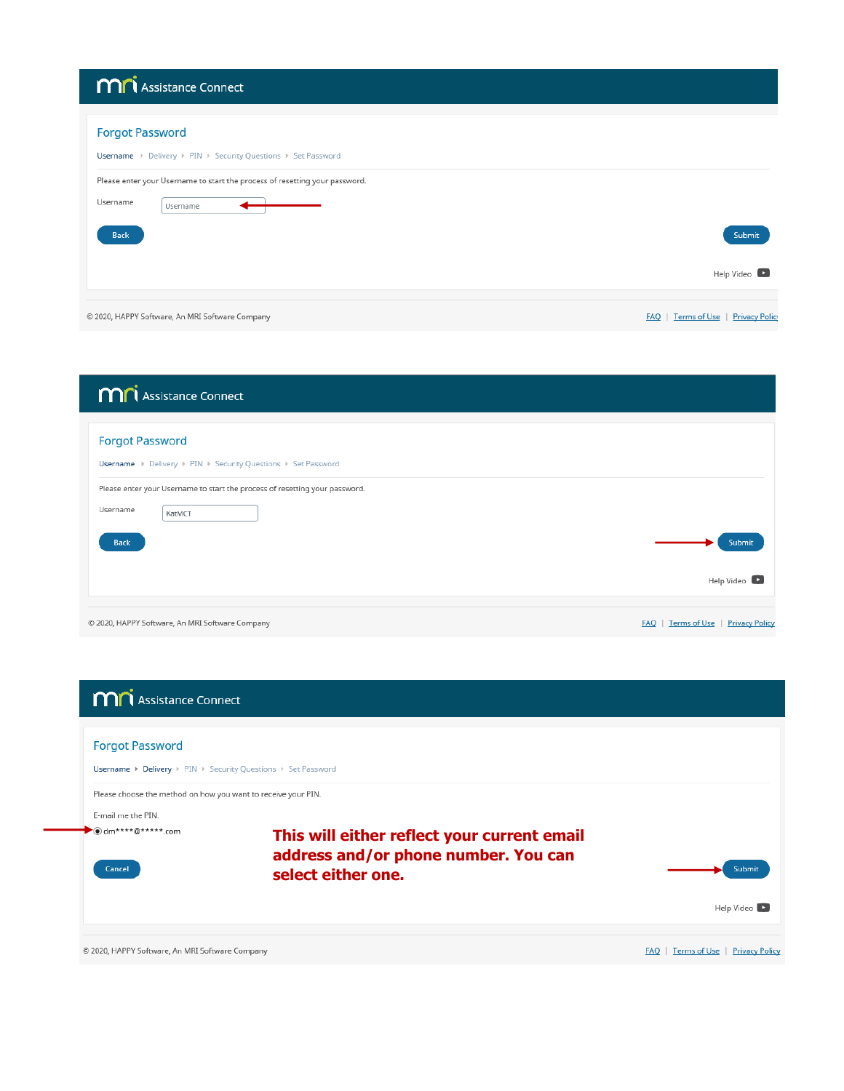| <b>M</b> Assistance Connect                                                                                                                                                                           |                                                    |
|-------------------------------------------------------------------------------------------------------------------------------------------------------------------------------------------------------|----------------------------------------------------|
| <b>Forgot Password</b><br><b>Username</b> ▶ Delivery ▶ PIN ▶ Security Questions ▶ Set Password<br>Please enter your Username to start the process of resetting your password.<br>Username<br>Username |                                                    |
| <b>Back</b>                                                                                                                                                                                           | Submit<br>Help Video                               |
| © 2020, HAPPY Software, An MRI Software Company                                                                                                                                                       | Terms of Use<br><b>Privacy Polic</b><br><b>FAQ</b> |

| <b>M</b> <sup>1</sup> Assistance Connect                                                          |                       |
|---------------------------------------------------------------------------------------------------|-----------------------|
| <b>Forgot Password</b><br><b>Username</b> ▶ Delivery ▶ PIN ▶ Security Questions ▶ Set Password    |                       |
| Please enter your Username to start the process of resetting your password.<br>Username<br>KatMCT |                       |
| <b>Back</b>                                                                                       | Submit<br>Help Video  |
| © 2020, HAPPY Software, An MRI Software Company<br>Terms of Use<br><b>FAO</b>                     | <b>Privacy Policy</b> |

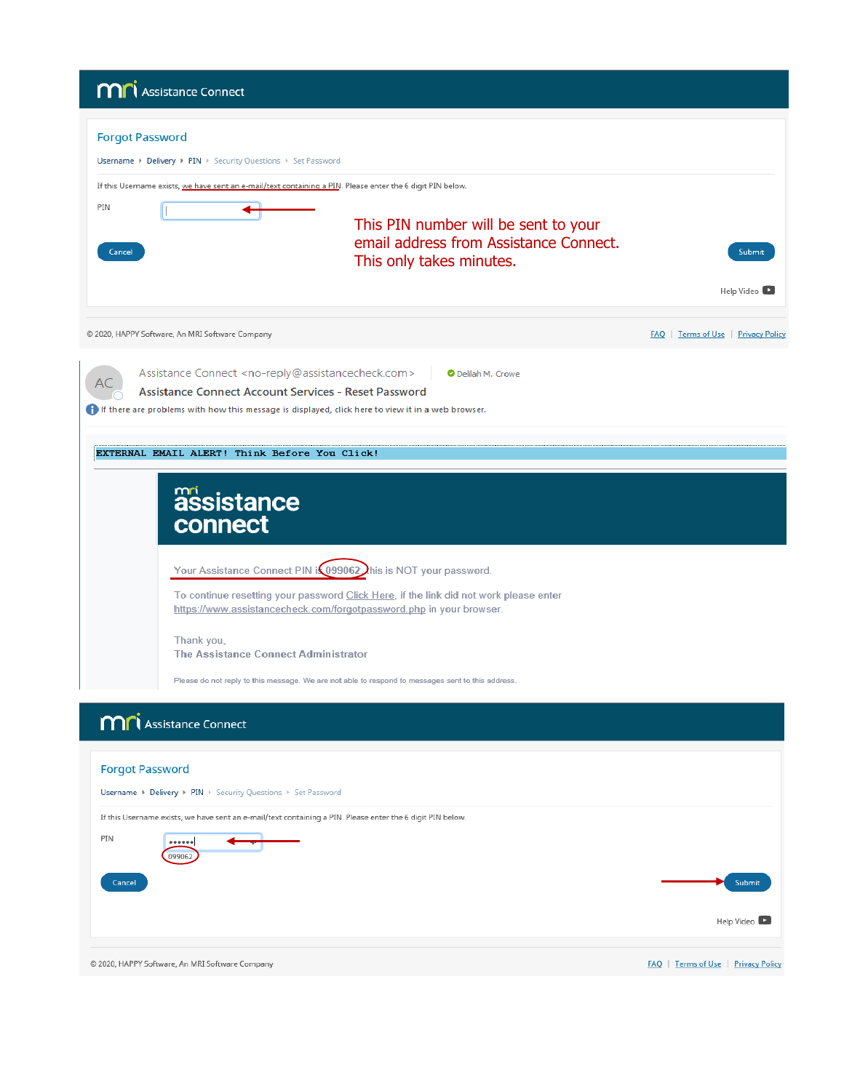|                        | <b>MN</b> Assistance Connect                                                                                                                                                                                                                    |                                                                                                            |                                     |
|------------------------|-------------------------------------------------------------------------------------------------------------------------------------------------------------------------------------------------------------------------------------------------|------------------------------------------------------------------------------------------------------------|-------------------------------------|
| <b>Forgot Password</b> | Username > Delivery > PIN > Security Questions > Set Password                                                                                                                                                                                   |                                                                                                            |                                     |
|                        | If this Username exists, we have sent an e-mail/text containing a PIN. Please enter the 6 digit PIN below.                                                                                                                                      |                                                                                                            |                                     |
| PIN<br>Cancel          |                                                                                                                                                                                                                                                 | This PIN number will be sent to your<br>email address from Assistance Connect.<br>This only takes minutes. | Submit<br>Help Video                |
|                        | © 2020, HAPPY Software, An MRI Software Company                                                                                                                                                                                                 |                                                                                                            | FAQ   Terms of Use   Privacy Policy |
|                        | Assistance Connect <no-reply@assistancecheck.com><br/>Assistance Connect Account Services - Reset Password<br/>If there are problems with how this message is displayed, click here to view it in a web browser.</no-reply@assistancecheck.com> | O Delilah M. Crowe                                                                                         |                                     |
|                        | EXTERNAL EMAIL ALERT! Think Before You Click!                                                                                                                                                                                                   |                                                                                                            |                                     |
|                        | assistance<br>connect                                                                                                                                                                                                                           |                                                                                                            |                                     |
|                        | Your Assistance Connect PIN is 099062 his is NOT your password.                                                                                                                                                                                 |                                                                                                            |                                     |
|                        | To continue resetting your password Click Here, if the link did not work please enter<br>https://www.assistancecheck.com/forgotpassword.php in your browser.                                                                                    |                                                                                                            |                                     |
|                        | Thank you,<br>The Assistance Connect Administrator                                                                                                                                                                                              |                                                                                                            |                                     |
|                        | Please do not reply to this message. We are not able to respond to messages sent to this address.                                                                                                                                               |                                                                                                            |                                     |
|                        | <b>MA</b> Assistance Connect                                                                                                                                                                                                                    |                                                                                                            |                                     |
| <b>Forgot Password</b> |                                                                                                                                                                                                                                                 |                                                                                                            |                                     |
|                        | <b>Username ▶ Delivery ▶ PIN ▶</b> Security Questions ▶ Set Password                                                                                                                                                                            |                                                                                                            |                                     |
|                        | If this Username exists, we have sent an e-mail/text containing a PIN. Please enter the 6 digit PIN below.                                                                                                                                      |                                                                                                            |                                     |
| PIN                    | <br>099062                                                                                                                                                                                                                                      |                                                                                                            |                                     |
| Cancel                 |                                                                                                                                                                                                                                                 |                                                                                                            | Submit                              |
|                        |                                                                                                                                                                                                                                                 |                                                                                                            | Help Video                          |
|                        | © 2020, HAPPY Software, An MRI Software Company                                                                                                                                                                                                 |                                                                                                            | FAQ   Terms of Use   Privacy Policy |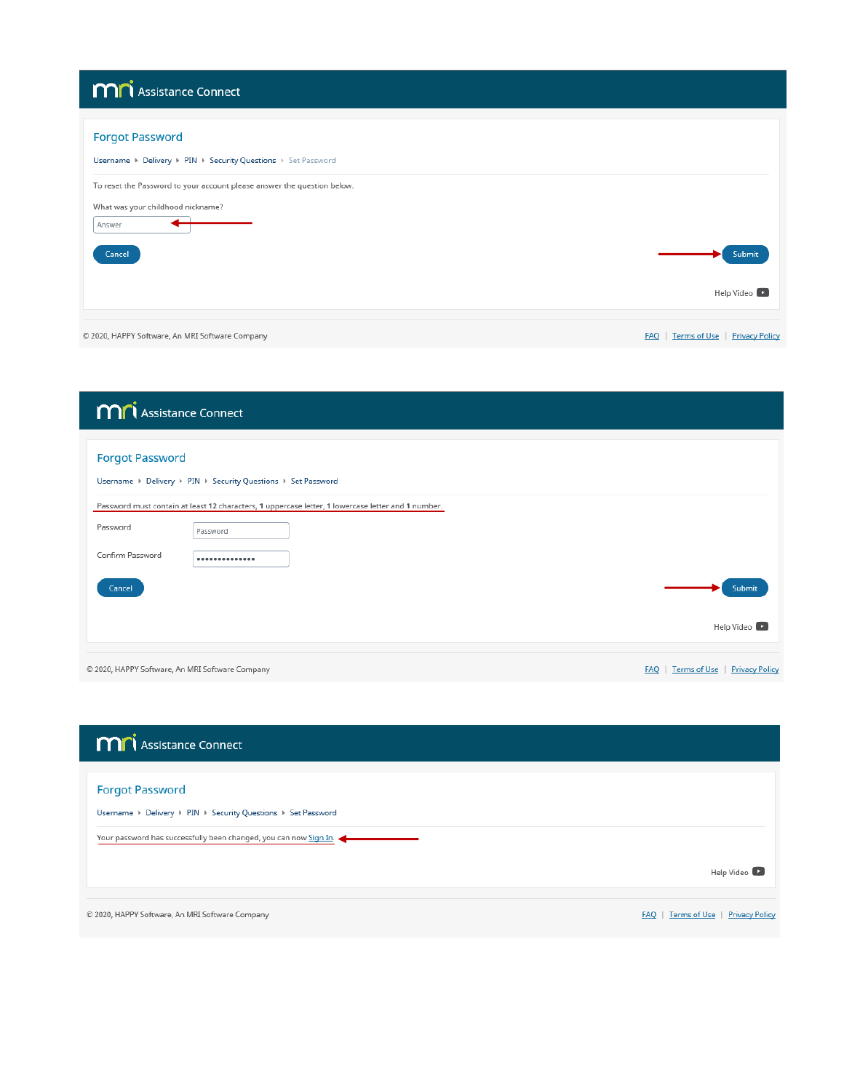# **MN** Assistance Connect

| <b>Forgot Password</b>                                                  |                                                     |
|-------------------------------------------------------------------------|-----------------------------------------------------|
| Username > Delivery > PIN > Security Questions > Set Password           |                                                     |
| To reset the Password to your account please answer the question below. |                                                     |
| What was your childhood nickname?                                       |                                                     |
| Answer                                                                  |                                                     |
| Cancel                                                                  | Submit                                              |
|                                                                         | Help Video                                          |
|                                                                         |                                                     |
| © 2020, HAPPY Software, An MRI Software Company                         | Terms of Use<br><b>Privacy Policy</b><br><b>FAQ</b> |

| <b>MM</b> Assistance Connect                                                                                               |                                                    |
|----------------------------------------------------------------------------------------------------------------------------|----------------------------------------------------|
| <b>Forgot Password</b><br>Username > Delivery > PIN > Security Questions > Set Password                                    |                                                    |
| Password must contain at least 12 characters, 1 uppercase letter, 1 lowercase letter and 1 number.<br>Password<br>Password |                                                    |
| Confirm Password<br>--------------                                                                                         |                                                    |
| Cancel                                                                                                                     | Submit                                             |
|                                                                                                                            | Help Video                                         |
| © 2020, HAPPY Software, An MRI Software Company                                                                            | <b>Terms of Use</b>   Privacy Policy<br><b>FAO</b> |

| <b>MN</b> Assistance Connect                                                                                                                                 |                                                     |
|--------------------------------------------------------------------------------------------------------------------------------------------------------------|-----------------------------------------------------|
| <b>Forgot Password</b><br>Username ▶ Delivery ▶ PIN ▶ Security Questions ▶ Set Password<br>Your password has successfully been changed, you can now Sign In. |                                                     |
|                                                                                                                                                              | Help Video                                          |
| © 2020, HAPPY Software, An MRI Software Company                                                                                                              | Terms of Use<br><b>Privacy Policy</b><br><b>FAQ</b> |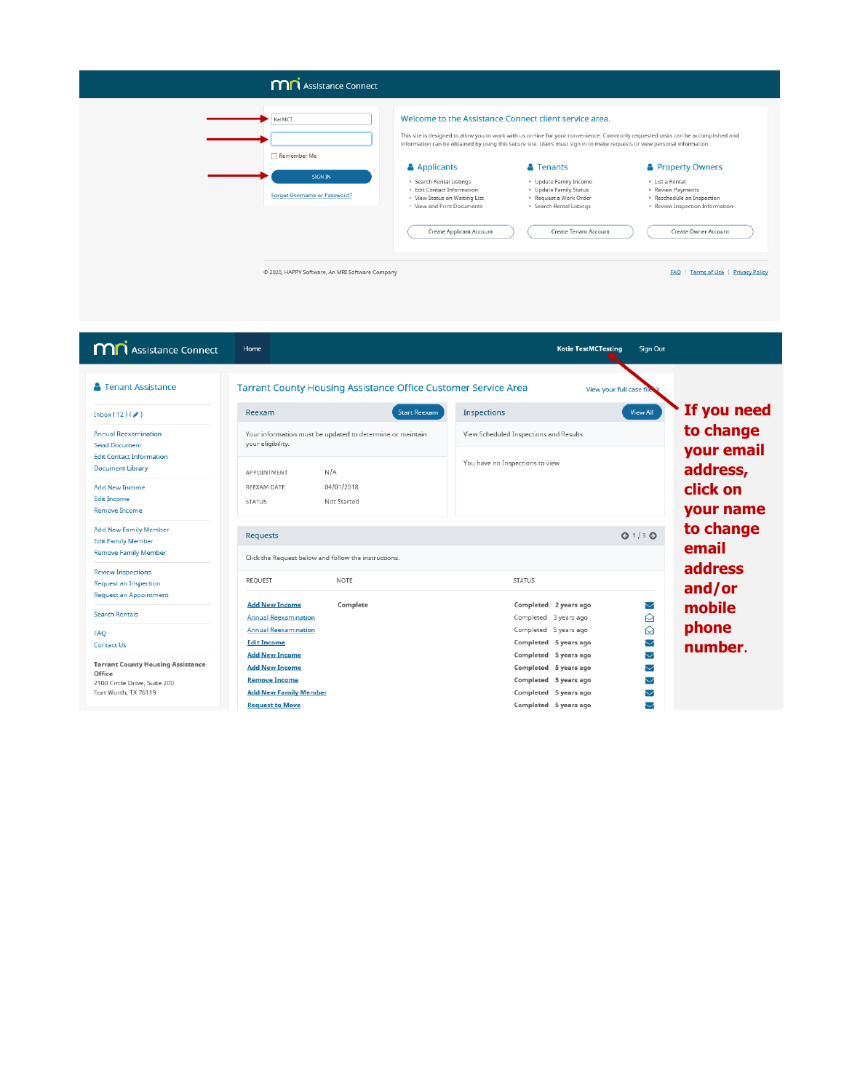### **M**<sup>1</sup> Assistance Connect



#### Welcome to the Assistance Connect client service area.

This site is designed to allow you to work with us on-line for your convenience. Commonly requested tasks can be accomplished and<br>information can be obtained by using this secure site. Users must sign in to make requests o

#### $\bullet$  Tenants Property Owners

• Update Family Income<br>• Update Family Status<br>• Request a Work Order<br>• Search Rental Listings • List a Rental<br>• Review Payments<br>• Reschedule an Inspection<br>• Review Inspection Information

(

Create Tenant Account

Create Owner Account

FAQ | Terms of Use | Privacy Policy

© 2020, HAPPY Software, An MRI Software Company

| <b>MN</b> Assistance Connect                                                                                                      | Home                                                                                                                                                                                     | <b>Katie TestMCTesting</b><br>Sign Out                                                                                                                                                   |                                        |
|-----------------------------------------------------------------------------------------------------------------------------------|------------------------------------------------------------------------------------------------------------------------------------------------------------------------------------------|------------------------------------------------------------------------------------------------------------------------------------------------------------------------------------------|----------------------------------------|
| <b>A</b> Tenant Assistance<br>Inbox $(12)($<br><b>Annual Reexamination</b><br><b>Send Document</b>                                | <b>Tarrant County Housing Assistance Office Customer Service Area</b><br><b>Start Reexam</b><br>Reexam<br>Your information must be updated to determine or maintain<br>your eligibility. | View your full case file<br>Inspections<br><b>View All</b><br>View Scheduled Inspections and Results.                                                                                    | If you need<br>to change<br>your email |
| <b>Edit Contact Information</b><br><b>Document Library</b><br><b>Add New Income</b><br><b>Edit Income</b><br><b>Remove Income</b> | N/A<br>APPOINTMENT<br>04/01/2018<br>REEXAM DATE<br>Not Started<br><b>STATUS</b>                                                                                                          | You have no Inspections to view                                                                                                                                                          | address,<br>click on<br>your name      |
| <b>Add New Family Member</b><br><b>Edit Family Member</b><br><b>Remove Family Member</b><br><b>Review Inspections</b>             | Requests<br>Click the Request below and follow the instructions.                                                                                                                         | $Q$ 1/3 $Q$                                                                                                                                                                              | to change<br>email<br>address          |
| <b>Request an Inspection</b><br><b>Request an Appointment</b><br><b>Search Rentals</b><br><b>FAO</b><br><b>Contact Us</b>         | REQUEST<br><b>NOTE</b><br><b>Add New Income</b><br>Complete<br><b>Annual Reexamination</b><br><b>Annual Reexamination</b><br><b>Edit Income</b>                                          | <b>STATUS</b><br>Completed 2 years ago<br>$\searrow$<br>♤<br>Completed 3 years ago<br>♤<br>Completed 5 years ago<br>Completed 5 years ago<br>$\overline{\smile}$                         | and/or<br>mobile<br>phone<br>number.   |
| <b>Tarrant County Housing Assistance</b><br>Office<br>2100 Circle Drive, Suite 200<br>Fort Worth, TX 76119                        | <b>Add New Income</b><br><b>Add New Income</b><br><b>Remove Income</b><br><b>Add New Family Member</b><br><b>Request to Move</b>                                                         | Completed 5 years ago<br>$\blacktriangledown$<br>Completed 5 years ago<br>▽<br>Completed 5 years ago<br>$\blacktriangledown$<br>Completed 5 years ago<br>▽<br>Completed 5 years ago<br>▽ |                                        |

Applicants

• Search Rental Listings<br>• Edit Contact Information<br>• View Status on Waiting List<br>• View and Print Documents

Create Applicant Account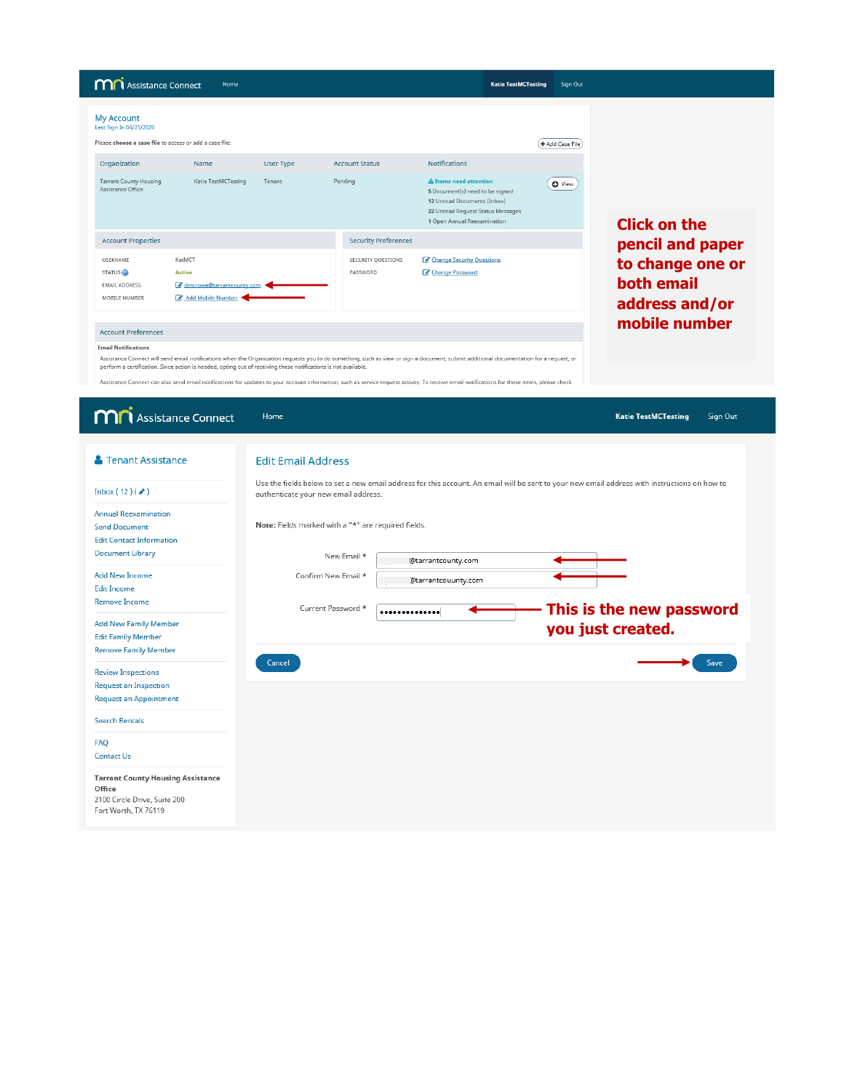| <b>MN</b> Assistance Connect<br>Home                                                                                                                                                                                                                                                                                                                                                                                                                                                                                                    |                                | <b>Katie TestMCTesting</b>                                                                                                                                          | Sign Out        |                                                         |
|-----------------------------------------------------------------------------------------------------------------------------------------------------------------------------------------------------------------------------------------------------------------------------------------------------------------------------------------------------------------------------------------------------------------------------------------------------------------------------------------------------------------------------------------|--------------------------------|---------------------------------------------------------------------------------------------------------------------------------------------------------------------|-----------------|---------------------------------------------------------|
| <b>My Account</b><br>Last Sign In 04/23/2020<br>Please choose a case file to access or add a case file:                                                                                                                                                                                                                                                                                                                                                                                                                                 |                                |                                                                                                                                                                     | + Add Case File |                                                         |
| Organization<br><b>User Type</b><br>Name                                                                                                                                                                                                                                                                                                                                                                                                                                                                                                | <b>Account Status</b>          | <b>Notifications</b>                                                                                                                                                |                 |                                                         |
| <b>Tarrant County Housing</b><br>Katie TestMCTesting<br>Tenant<br>Assistance Office                                                                                                                                                                                                                                                                                                                                                                                                                                                     | Pending                        | <b>A</b> Items need attention<br>5 Document(s) need to be signed<br>12 Unread Documents (Inbox)<br>22 Unread Request Status Messages<br>1 Open Annual Reexamination | O View          | <b>Click on the</b>                                     |
| <b>Account Properties</b>                                                                                                                                                                                                                                                                                                                                                                                                                                                                                                               | <b>Security Preferences</b>    |                                                                                                                                                                     |                 | pencil and paper                                        |
| KatMCT<br><b>USERNAME</b><br>STATUS <sup>O</sup><br><b>Active</b><br>dmcrowe@tarrantcounty.com<br><b>EMAIL ADDRESS</b><br>Add Mobile Number<br>MOBILE NUMBER                                                                                                                                                                                                                                                                                                                                                                            | SECURITY QUESTIONS<br>PASSWORD | Change Security Questions<br>Change Password                                                                                                                        |                 | to change one or<br><b>both email</b><br>address and/or |
| <b>Account Preferences</b>                                                                                                                                                                                                                                                                                                                                                                                                                                                                                                              |                                |                                                                                                                                                                     |                 | mobile number                                           |
| <b>Email Notifications</b><br>Assistance Connect will send email notifications when the Organization requests you to do something, such as view or sign a document, submit additional documentation for a request, or<br>perform a certification. Since action is needed, opting out of receiving these notifications is not available.<br>Assistance Connect can also send email notifications for updates to your account information, such as service request activity. To receive email notifications for these items, please check |                                |                                                                                                                                                                     |                 |                                                         |

| <b>M</b> Assistance Connect                                                                                       | Home                                                                                                                                                                                  | <b>Katie TestMCTesting</b> | Sign Out |
|-------------------------------------------------------------------------------------------------------------------|---------------------------------------------------------------------------------------------------------------------------------------------------------------------------------------|----------------------------|----------|
| <b>A</b> Tenant Assistance                                                                                        | <b>Edit Email Address</b>                                                                                                                                                             |                            |          |
| Inbox $(12)($                                                                                                     | Use the fields below to set a new email address for this account. An email will be sent to your new email address with instructions on how to<br>authenticate your new email address. |                            |          |
| <b>Annual Reexamination</b><br><b>Send Document</b><br><b>Edit Contact Information</b><br><b>Document Library</b> | Note: Fields marked with a "*" are required fields.                                                                                                                                   |                            |          |
| <b>Add New Income</b><br><b>Edit Income</b>                                                                       | New Email *<br>@tarrantcounty.com<br>Confirm New Email *<br>@tarrantcouunty.com                                                                                                       |                            |          |
| <b>Remove Income</b><br><b>Add New Family Member</b>                                                              | Current Password *<br>This is the new password<br>**************                                                                                                                      |                            |          |
| <b>Edit Family Member</b><br><b>Remove Family Member</b>                                                          | you just created.                                                                                                                                                                     |                            |          |
| <b>Review Inspections</b><br><b>Request an Inspection</b>                                                         | Cancel                                                                                                                                                                                |                            | Save     |
| <b>Request an Appointment</b><br><b>Search Rentals</b>                                                            |                                                                                                                                                                                       |                            |          |
| <b>FAO</b><br><b>Contact Us</b>                                                                                   |                                                                                                                                                                                       |                            |          |
| <b>Tarrant County Housing Assistance</b><br>Office<br>2100 Circle Drive, Suite 200<br>Fort Worth, TX 76119        |                                                                                                                                                                                       |                            |          |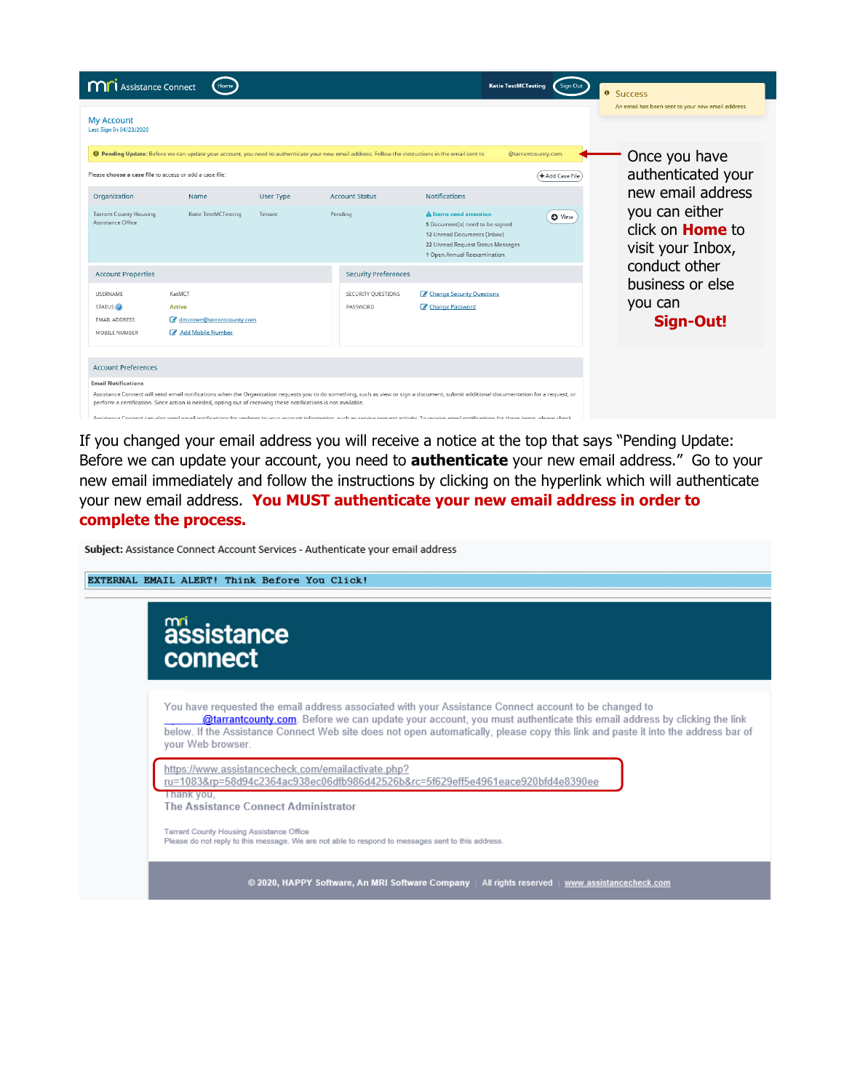| <b>M</b> Assistance Connect<br>Home                                                                                                                                                                                                                                                                                                                                                                                                                                                                                                     |                                                                                                                                                                     | <b>Katie TestMCTesting</b><br>Sign Out<br><sup>o</sup> Success           |
|-----------------------------------------------------------------------------------------------------------------------------------------------------------------------------------------------------------------------------------------------------------------------------------------------------------------------------------------------------------------------------------------------------------------------------------------------------------------------------------------------------------------------------------------|---------------------------------------------------------------------------------------------------------------------------------------------------------------------|--------------------------------------------------------------------------|
| <b>My Account</b><br>Last Sign In 04/23/2020                                                                                                                                                                                                                                                                                                                                                                                                                                                                                            |                                                                                                                                                                     | An email has been sent to your new email address.                        |
| <b>O</b> Pending Update: Before we can update your account, you need to authenticate your new email address. Follow the instructions in the email sent to                                                                                                                                                                                                                                                                                                                                                                               |                                                                                                                                                                     | @tarrantcounty.com.<br>Once you have                                     |
| Please choose a case file to access or add a case file:                                                                                                                                                                                                                                                                                                                                                                                                                                                                                 |                                                                                                                                                                     | authenticated your<br>+ Add Case File                                    |
| Organization<br>Name<br>User Type                                                                                                                                                                                                                                                                                                                                                                                                                                                                                                       | <b>Notifications</b><br><b>Account Status</b>                                                                                                                       | new email address                                                        |
| <b>Tarrant County Housing</b><br>Katie TestMCTesting<br>Pending<br>Tenant<br>Assistance Office                                                                                                                                                                                                                                                                                                                                                                                                                                          | <b>A</b> Items need attention<br>5 Document(s) need to be signed<br>12 Unread Documents (Inbox)<br>22 Unread Request Status Messages<br>1 Open Annual Reexamination | you can either<br>O View<br>click on <b>Home</b> to<br>visit your Inbox, |
| <b>Account Properties</b>                                                                                                                                                                                                                                                                                                                                                                                                                                                                                                               | <b>Security Preferences</b>                                                                                                                                         | conduct other                                                            |
| KatMCT<br><b>USERNAME</b><br>STATUS <sup>(2)</sup><br><b>Active</b><br>dmcrowe@tarrantcounty.com<br><b>EMAIL ADDRESS</b><br>Add Mobile Number<br>MOBILE NUMBER                                                                                                                                                                                                                                                                                                                                                                          | Change Security Ouestions<br>SECURITY OUESTIONS<br>Change Password<br>PASSWORD                                                                                      | business or else<br>you can<br><b>Sign-Out!</b>                          |
| <b>Account Preferences</b>                                                                                                                                                                                                                                                                                                                                                                                                                                                                                                              |                                                                                                                                                                     |                                                                          |
| <b>Email Notifications</b><br>Assistance Connect will send email notifications when the Organization requests you to do something, such as view or sign a document, submit additional documentation for a request, or<br>perform a certification. Since action is needed, opting out of receiving these notifications is not available.<br>Assistance Connect can also send email notifications for undates to your account information, such as senvice request activity. To receive email notifications for these items, please check |                                                                                                                                                                     |                                                                          |

If you changed your email address you will receive a notice at the top that says "Pending Update: Before we can update your account, you need to **authenticate** your new email address." Go to your new email immediately and follow the instructions by clicking on the hyperlink which will authenticate your new email address. **You MUST authenticate your new email address in order to complete the process.**

Subject: Assistance Connect Account Services - Authenticate your email address